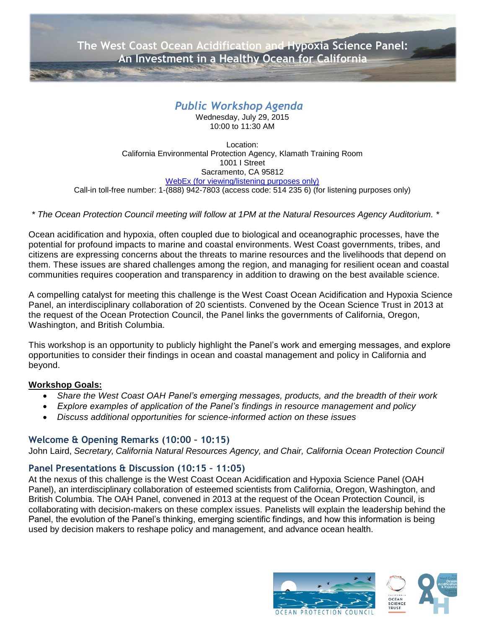**[The West Coast Ocean Acidification and Hypoxia Science Panel:](http://www.google.com/url?sa=i&rct=j&q=&esrc=s&source=images&cd=&cad=rja&uact=8&ved=0CAcQjRw&url=http://www.nature.com/scitable/knowledge/library/ocean-acidification-25822734&ei=bQF2Vfj_JousogSRr4NQ&bvm=bv.95039771,d.cGU&psig=AFQjCNHOc0YbZi7fcB-KMNCXMOSi4s-PIg&ust=1433880107195751)  An Investment in a Healthy Ocean for California**

# *Public Workshop Agenda*

Wednesday, July 29, 2015 10:00 to 11:30 AM

Location: California Environmental Protection Agency, Klamath Training Room 1001 I Street Sacramento, CA 95812 [WebEx \(for viewing/listening purposes only\)](https://resources.webex.com/resources/j.php?MTID=m5a3564e4d5ce68988d5c2e30f1fe6962) Call-in toll-free number: 1-(888) 942-7803 (access code: 514 235 6) (for listening purposes only)

## *\* The Ocean Protection Council meeting will follow at 1PM at the Natural Resources Agency Auditorium. \**

Ocean acidification and hypoxia, often coupled due to biological and oceanographic processes, have the potential for profound impacts to marine and coastal environments. West Coast governments, tribes, and citizens are expressing concerns about the threats to marine resources and the livelihoods that depend on them. These issues are shared challenges among the region, and managing for resilient ocean and coastal communities requires cooperation and transparency in addition to drawing on the best available science.

A compelling catalyst for meeting this challenge is the West Coast Ocean Acidification and Hypoxia Science Panel, an interdisciplinary collaboration of 20 scientists. Convened by the Ocean Science Trust in 2013 at the request of the Ocean Protection Council, the Panel links the governments of California, Oregon, Washington, and British Columbia.

This workshop is an opportunity to publicly highlight the Panel's work and emerging messages, and explore opportunities to consider their findings in ocean and coastal management and policy in California and beyond.

### **Workshop Goals:**

- *Share the West Coast OAH Panel's emerging messages, products, and the breadth of their work*
- *Explore examples of application of the Panel's findings in resource management and policy*
- *Discuss additional opportunities for science-informed action on these issues*

# **Welcome & Opening Remarks (10:00 – 10:15)**

John Laird, *Secretary, California Natural Resources Agency, and Chair, California Ocean Protection Council*

# **Panel Presentations & Discussion (10:15 – 11:05)**

At the nexus of this challenge is the West Coast Ocean Acidification and Hypoxia Science Panel (OAH Panel), an interdisciplinary collaboration of esteemed scientists from California, Oregon, Washington, and British Columbia. The OAH Panel, convened in 2013 at the request of the Ocean Protection Council, is collaborating with decision-makers on these complex issues. Panelists will explain the leadership behind the Panel, the evolution of the Panel's thinking, emerging scientific findings, and how this information is being used by decision makers to reshape policy and management, and advance ocean health.